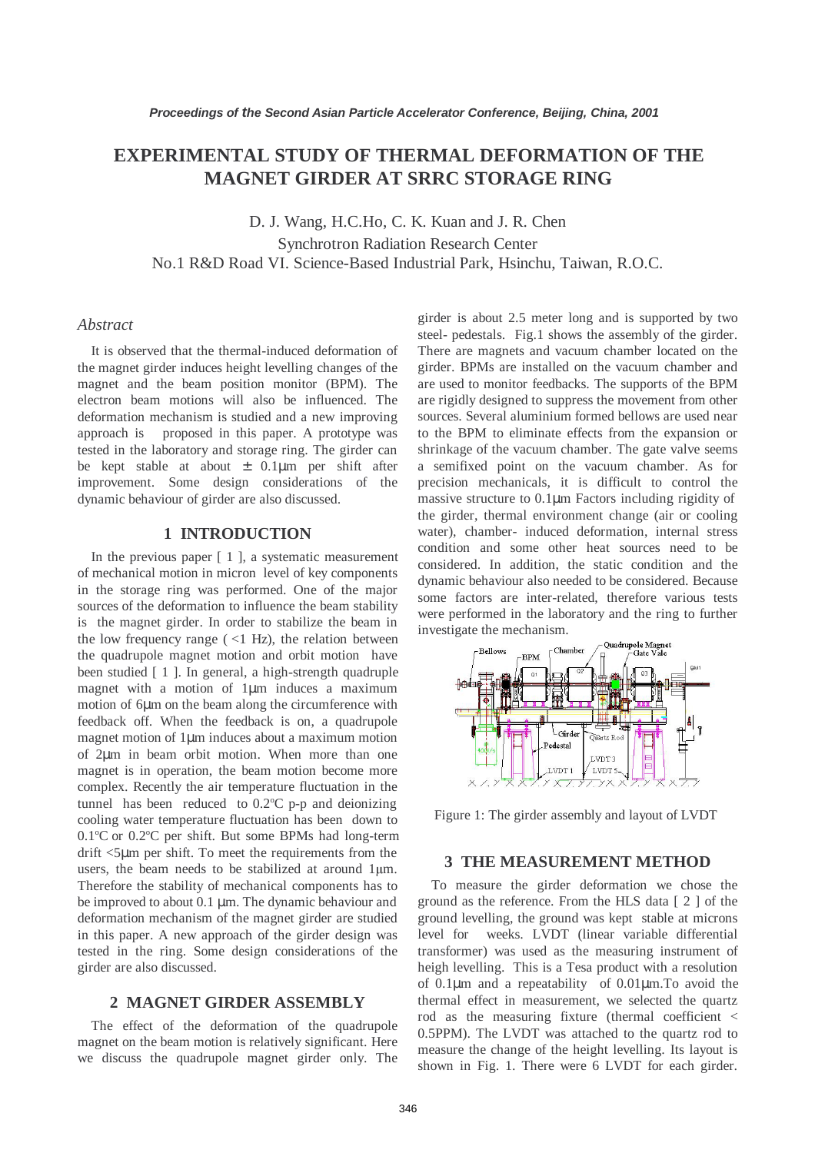# **EXPERIMENTAL STUDY OF THERMAL DEFORMATION OF THE MAGNET GIRDER AT SRRC STORAGE RING**

D. J. Wang, H.C.Ho, C. K. Kuan and J. R. Chen Synchrotron Radiation Research Center No.1 R&D Road VI. Science-Based Industrial Park, Hsinchu, Taiwan, R.O.C.

### *Abstract*

It is observed that the thermal-induced deformation of the magnet girder induces height levelling changes of the magnet and the beam position monitor (BPM). The electron beam motions will also be influenced. The deformation mechanism is studied and a new improving approach is proposed in this paper. A prototype was tested in the laboratory and storage ring. The girder can be kept stable at about ± 0.1µm per shift after improvement. Some design considerations of the dynamic behaviour of girder are also discussed.

### **1 INTRODUCTION**

In the previous paper [ 1 ], a systematic measurement of mechanical motion in micron level of key components in the storage ring was performed. One of the major sources of the deformation to influence the beam stability is the magnet girder. In order to stabilize the beam in the low frequency range  $\left($  <1 Hz), the relation between the quadrupole magnet motion and orbit motion have been studied [ 1 ]. In general, a high-strength quadruple magnet with a motion of 1µm induces a maximum motion of 6µm on the beam along the circumference with feedback off. When the feedback is on, a quadrupole magnet motion of 1µm induces about a maximum motion of 2µm in beam orbit motion. When more than one magnet is in operation, the beam motion become more complex. Recently the air temperature fluctuation in the tunnel has been reduced to  $0.2^{\circ}$ C p-p and deionizing cooling water temperature fluctuation has been down to 0.1°C or 0.2°C per shift. But some BPMs had long-term drift <5µm per shift. To meet the requirements from the users, the beam needs to be stabilized at around 1µm. Therefore the stability of mechanical components has to be improved to about 0.1 µm. The dynamic behaviour and deformation mechanism of the magnet girder are studied in this paper. A new approach of the girder design was tested in the ring. Some design considerations of the girder are also discussed.

### **2 MAGNET GIRDER ASSEMBLY**

The effect of the deformation of the quadrupole magnet on the beam motion is relatively significant. Here we discuss the quadrupole magnet girder only. The girder is about 2.5 meter long and is supported by two steel- pedestals. Fig.1 shows the assembly of the girder. There are magnets and vacuum chamber located on the girder. BPMs are installed on the vacuum chamber and are used to monitor feedbacks. The supports of the BPM are rigidly designed to suppress the movement from other sources. Several aluminium formed bellows are used near to the BPM to eliminate effects from the expansion or shrinkage of the vacuum chamber. The gate valve seems a semifixed point on the vacuum chamber. As for precision mechanicals, it is difficult to control the massive structure to 0.1µm. Factors including rigidity of the girder, thermal environment change (air or cooling water), chamber- induced deformation, internal stress condition and some other heat sources need to be considered. In addition, the static condition and the dynamic behaviour also needed to be considered. Because some factors are inter-related, therefore various tests were performed in the laboratory and the ring to further investigate the mechanism.



Figure 1: The girder assembly and layout of LVDT

### **3 THE MEASUREMENT METHOD**

To measure the girder deformation we chose the ground as the reference. From the HLS data [ 2 ] of the ground levelling, the ground was kept stable at microns level for weeks. LVDT (linear variable differential transformer) was used as the measuring instrument of heigh levelling. This is a Tesa product with a resolution of 0.1µm and a repeatability of 0.01µm.To avoid the thermal effect in measurement, we selected the quartz rod as the measuring fixture (thermal coefficient < 0.5PPM). The LVDT was attached to the quartz rod to measure the change of the height levelling. Its layout is shown in Fig. 1. There were 6 LVDT for each girder.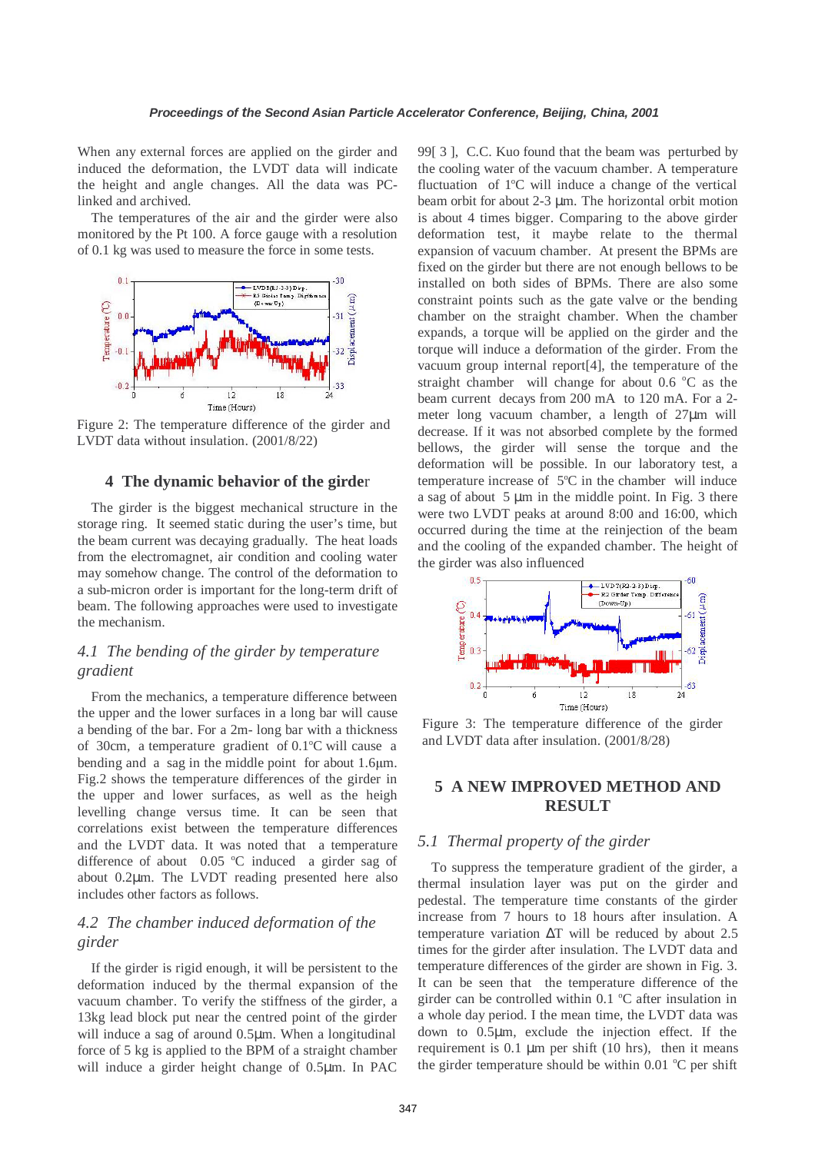When any external forces are applied on the girder and induced the deformation, the LVDT data will indicate the height and angle changes. All the data was PClinked and archived.

The temperatures of the air and the girder were also monitored by the Pt 100. A force gauge with a resolution of 0.1 kg was used to measure the force in some tests.



Figure 2: The temperature difference of the girder and LVDT data without insulation. (2001/8/22)

#### **4 The dynamic behavior of the girde**r

The girder is the biggest mechanical structure in the storage ring. It seemed static during the user's time, but the beam current was decaying gradually. The heat loads from the electromagnet, air condition and cooling water may somehow change. The control of the deformation to a sub-micron order is important for the long-term drift of beam. The following approaches were used to investigate the mechanism.

## *4.1 The bending of the girder by temperature gradient*

From the mechanics, a temperature difference between the upper and the lower surfaces in a long bar will cause a bending of the bar. For a 2m- long bar with a thickness of 30cm, a temperature gradient of 0.1°C will cause a bending and a sag in the middle point for about 1.6µm. Fig.2 shows the temperature differences of the girder in the upper and lower surfaces, as well as the heigh levelling change versus time. It can be seen that correlations exist between the temperature differences and the LVDT data. It was noted that a temperature difference of about  $0.05$  °C induced a girder sag of about 0.2µm. The LVDT reading presented here also includes other factors as follows.

## *4.2 The chamber induced deformation of the girder*

If the girder is rigid enough, it will be persistent to the deformation induced by the thermal expansion of the vacuum chamber. To verify the stiffness of the girder, a 13kg lead block put near the centred point of the girder will induce a sag of around 0.5 $\mu$ m. When a longitudinal force of 5 kg is applied to the BPM of a straight chamber will induce a girder height change of 0.5µm. In PAC

99[ 3 ], C.C. Kuo found that the beam was perturbed by the cooling water of the vacuum chamber. A temperature fluctuation of 1°C will induce a change of the vertical beam orbit for about 2-3 µm. The horizontal orbit motion is about 4 times bigger. Comparing to the above girder deformation test, it maybe relate to the thermal expansion of vacuum chamber. At present the BPMs are fixed on the girder but there are not enough bellows to be installed on both sides of BPMs. There are also some constraint points such as the gate valve or the bending chamber on the straight chamber. When the chamber expands, a torque will be applied on the girder and the torque will induce a deformation of the girder. From the vacuum group internal report[4], the temperature of the straight chamber will change for about  $0.6 \degree C$  as the beam current decays from 200 mA to 120 mA. For a 2 meter long vacuum chamber, a length of 27µm will decrease. If it was not absorbed complete by the formed bellows, the girder will sense the torque and the deformation will be possible. In our laboratory test, a temperature increase of  $5^{\circ}$ C in the chamber will induce a sag of about  $5 \mu m$  in the middle point. In Fig. 3 there were two LVDT peaks at around 8:00 and 16:00, which occurred during the time at the reinjection of the beam and the cooling of the expanded chamber. The height of the girder was also influenced



Figure 3: The temperature difference of the girder and LVDT data after insulation. (2001/8/28)

# **5 A NEW IMPROVED METHOD AND RESULT**

### *5.1 Thermal property of the girder*

To suppress the temperature gradient of the girder, a thermal insulation layer was put on the girder and pedestal. The temperature time constants of the girder increase from 7 hours to 18 hours after insulation. A temperature variation ∆T will be reduced by about 2.5 times for the girder after insulation. The LVDT data and temperature differences of the girder are shown in Fig. 3. It can be seen that the temperature difference of the girder can be controlled within 0.1 °C after insulation in a whole day period. I the mean time, the LVDT data was down to 0.5µm, exclude the injection effect. If the requirement is  $0.1 \mu m$  per shift (10 hrs), then it means the girder temperature should be within  $0.01 \, \degree C$  per shift